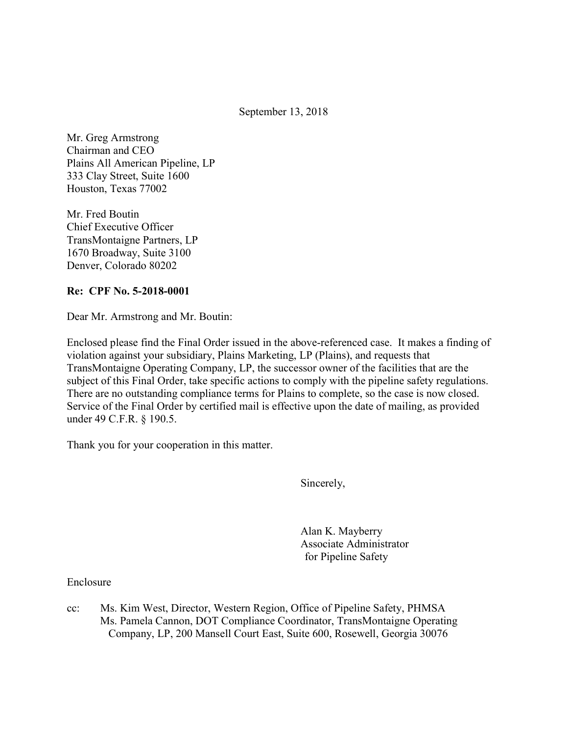September 13, 2018

 Mr. Greg Armstrong Chairman and CEO Plains All American Pipeline, LP 333 Clay Street, Suite 1600 Houston, Texas 77002

 Mr. Fred Boutin Chief Executive Officer TransMontaigne Partners, LP 1670 Broadway, Suite 3100 Denver, Colorado 80202

#### Re: CPF No. 5-2018-0001

Dear Mr. Armstrong and Mr. Boutin:

 Enclosed please find the Final Order issued in the above-referenced case. It makes a finding of violation against your subsidiary, Plains Marketing, LP (Plains), and requests that TransMontaigne Operating Company, LP, the successor owner of the facilities that are the subject of this Final Order, take specific actions to comply with the pipeline safety regulations. There are no outstanding compliance terms for Plains to complete, so the case is now closed. Service of the Final Order by certified mail is effective upon the date of mailing, as provided under 49 C.F.R. § 190.5.

Thank you for your cooperation in this matter.

Sincerely,

 Alan K. Mayberry for Pipeline Safety Associate Administrator

Enclosure

 $cc$ : Ms. Pamela Cannon, DOT Compliance Coordinator, TransMontaigne Operating Company, LP, 200 Mansell Court East, Suite 600, Rosewell, Georgia 30076Ms. Kim West, Director, Western Region, Office of Pipeline Safety, PHMSA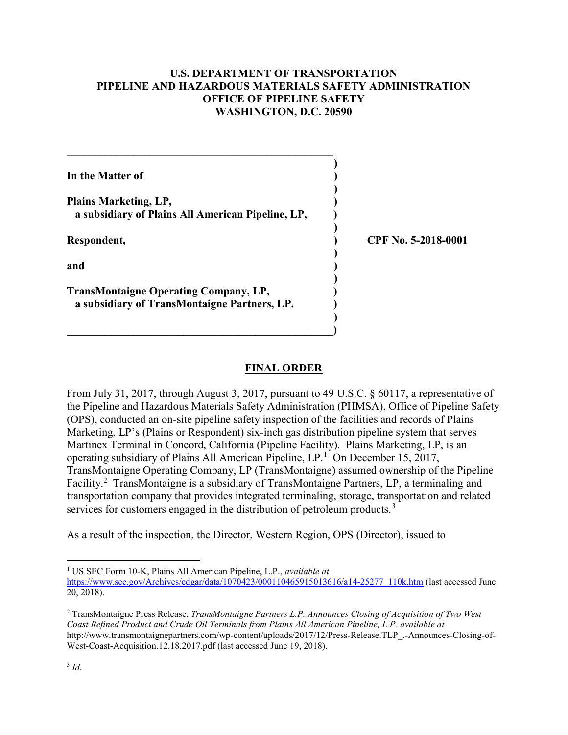### U.S. DEPARTMENT OF TRANSPORTATION PIPELINE AND HAZARDOUS MATERIALS SAFETY ADMINISTRATION OFFICE OF PIPELINE SAFETY WASHINGTON, D.C. 20590

| In the Matter of                                                                             |                     |
|----------------------------------------------------------------------------------------------|---------------------|
| Plains Marketing, LP,<br>a subsidiary of Plains All American Pipeline, LP,                   |                     |
| Respondent,                                                                                  | CPF No. 5-2018-0001 |
| and                                                                                          |                     |
| <b>TransMontaigne Operating Company, LP,</b><br>a subsidiary of TransMontaigne Partners, LP. |                     |

## FINAL ORDER

 From July 31, 2017, through August 3, 2017, pursuant to 49 U.S.C. § 60117, a representative of the Pipeline and Hazardous Materials Safety Administration (PHMSA), Office of Pipeline Safety (OPS), conducted an on-site pipeline safety inspection of the facilities and records of Plains Marketing, LP's (Plains or Respondent) six-inch gas distribution pipeline system that serves Martinex Terminal in Concord, California (Pipeline Facility). Plains Marketing, LP, is an operating subsidiary of Plains All American Pipeline,  $LP<sup>1</sup>$  On December 15, 2017, TransMontaigne Operating Company, LP (TransMontaigne) assumed ownership of the Pipeline Facility.<sup>2</sup> TransMontaigne is a subsidiary of TransMontaigne Partners, LP, a terminaling and transportation company that provides integrated terminaling, storage, transportation and related services for customers engaged in the distribution of petroleum products.<sup>3</sup>

As a result of the inspection, the Director, Western Region, OPS (Director), issued to

 $\overline{\phantom{a}}$ 

 $\overline{a}$ 

<sup>&</sup>lt;sup>1</sup> US SEC Form 10-K, Plains All American Pipeline, L.P., available at

https://www.sec.gov/Archives/edgar/data/1070423/000110465915013616/a14-25277 110k.htm (last accessed June 20, 2018).

<sup>&</sup>lt;sup>2</sup> TransMontaigne Press Release, *TransMontaigne Partners L.P. Announces Closing of Acquisition of Two West*  Coast Refined Product and Crude Oil Terminals from Plains All American Pipeline, L.P. available at West-Coast-Acquisition.12.18.2017.pdf (last accessed June 19, 2018). http://www.transmontaignepartners.com/wp-content/uploads/2017/12/Press-Release.TLP\_.-Announces-Closing-of-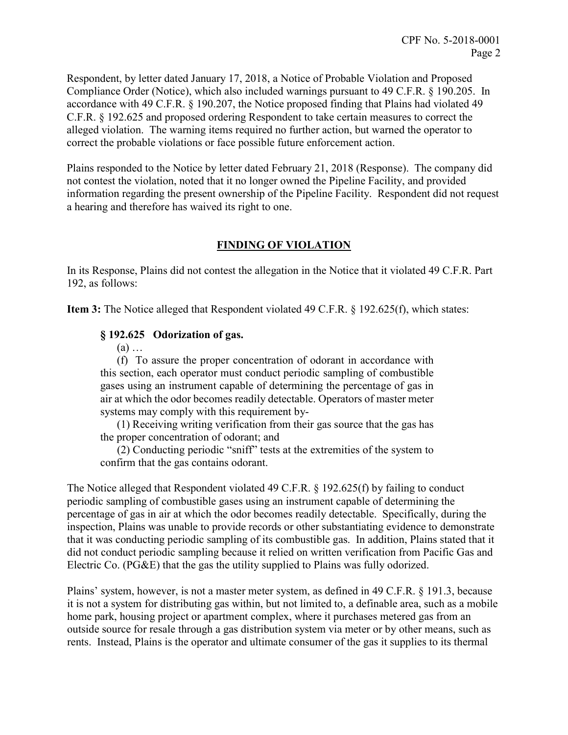Respondent, by letter dated January 17, 2018, a Notice of Probable Violation and Proposed Compliance Order (Notice), which also included warnings pursuant to 49 C.F.R. § 190.205. In accordance with 49 C.F.R. § 190.207, the Notice proposed finding that Plains had violated 49 C.F.R. § 192.625 and proposed ordering Respondent to take certain measures to correct the alleged violation. The warning items required no further action, but warned the operator to correct the probable violations or face possible future enforcement action.

 Plains responded to the Notice by letter dated February 21, 2018 (Response). The company did not contest the violation, noted that it no longer owned the Pipeline Facility, and provided information regarding the present ownership of the Pipeline Facility. Respondent did not request a hearing and therefore has waived its right to one.

# FINDING OF VIOLATION

 In its Response, Plains did not contest the allegation in the Notice that it violated 49 C.F.R. Part 192, as follows:

Item 3: The Notice alleged that Respondent violated 49 C.F.R. § 192.625(f), which states:

### § 192.625 Odorization of gas.

(a) …

 (f) To assure the proper concentration of odorant in accordance with this section, each operator must conduct periodic sampling of combustible gases using an instrument capable of determining the percentage of gas in air at which the odor becomes readily detectable. Operators of master meter systems may comply with this requirement by-

 (1) Receiving writing verification from their gas source that the gas has the proper concentration of odorant; and

 (2) Conducting periodic "sniff" tests at the extremities of the system to confirm that the gas contains odorant.

 The Notice alleged that Respondent violated 49 C.F.R. § 192.625(f) by failing to conduct periodic sampling of combustible gases using an instrument capable of determining the percentage of gas in air at which the odor becomes readily detectable. Specifically, during the inspection, Plains was unable to provide records or other substantiating evidence to demonstrate that it was conducting periodic sampling of its combustible gas. In addition, Plains stated that it did not conduct periodic sampling because it relied on written verification from Pacific Gas and Electric Co. (PG&E) that the gas the utility supplied to Plains was fully odorized.

 Plains' system, however, is not a master meter system, as defined in 49 C.F.R. § 191.3, because it is not a system for distributing gas within, but not limited to, a definable area, such as a mobile home park, housing project or apartment complex, where it purchases metered gas from an outside source for resale through a gas distribution system via meter or by other means, such as rents. Instead, Plains is the operator and ultimate consumer of the gas it supplies to its thermal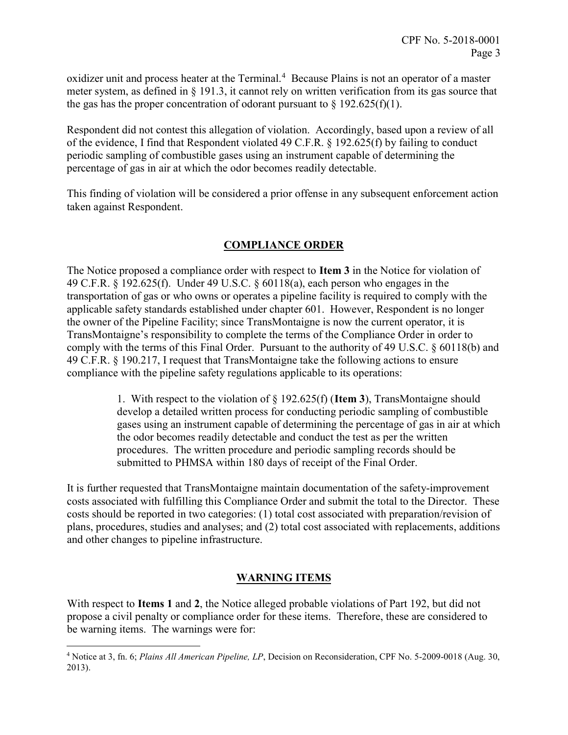oxidizer unit and process heater at the Terminal.<sup>4</sup> Because Plains is not an operator of a master meter system, as defined in § 191.3, it cannot rely on written verification from its gas source that the gas has the proper concentration of odorant pursuant to  $\S 192.625(f)(1)$ .

 Respondent did not contest this allegation of violation. Accordingly, based upon a review of all of the evidence, I find that Respondent violated 49 C.F.R. § 192.625(f) by failing to conduct periodic sampling of combustible gases using an instrument capable of determining the percentage of gas in air at which the odor becomes readily detectable.

 This finding of violation will be considered a prior offense in any subsequent enforcement action taken against Respondent.

# COMPLIANCE ORDER

The Notice proposed a compliance order with respect to Item 3 in the Notice for violation of 49 C.F.R. § 192.625(f). Under 49 U.S.C. § 60118(a), each person who engages in the transportation of gas or who owns or operates a pipeline facility is required to comply with the applicable safety standards established under chapter 601. However, Respondent is no longer the owner of the Pipeline Facility; since TransMontaigne is now the current operator, it is TransMontaigne's responsibility to complete the terms of the Compliance Order in order to comply with the terms of this Final Order. Pursuant to the authority of 49 U.S.C. § 60118(b) and 49 C.F.R. § 190.217, I request that TransMontaigne take the following actions to ensure compliance with the pipeline safety regulations applicable to its operations:

> 1. With respect to the violation of  $\S 192.625(f)$  (Item 3), TransMontaigne should develop a detailed written process for conducting periodic sampling of combustible gases using an instrument capable of determining the percentage of gas in air at which the odor becomes readily detectable and conduct the test as per the written procedures. The written procedure and periodic sampling records should be submitted to PHMSA within 180 days of receipt of the Final Order.

 It is further requested that TransMontaigne maintain documentation of the safety-improvement costs associated with fulfilling this Compliance Order and submit the total to the Director. These costs should be reported in two categories: (1) total cost associated with preparation/revision of plans, procedures, studies and analyses; and (2) total cost associated with replacements, additions and other changes to pipeline infrastructure.

## WARNING ITEMS

With respect to Items 1 and 2, the Notice alleged probable violations of Part 192, but did not propose a civil penalty or compliance order for these items. Therefore, these are considered to be warning items. The warnings were for:

 $\overline{a}$ 

<sup>&</sup>lt;sup>4</sup> Notice at 3, fn. 6; Plains All American Pipeline, LP, Decision on Reconsideration, CPF No. 5-2009-0018 (Aug. 30, 2013).